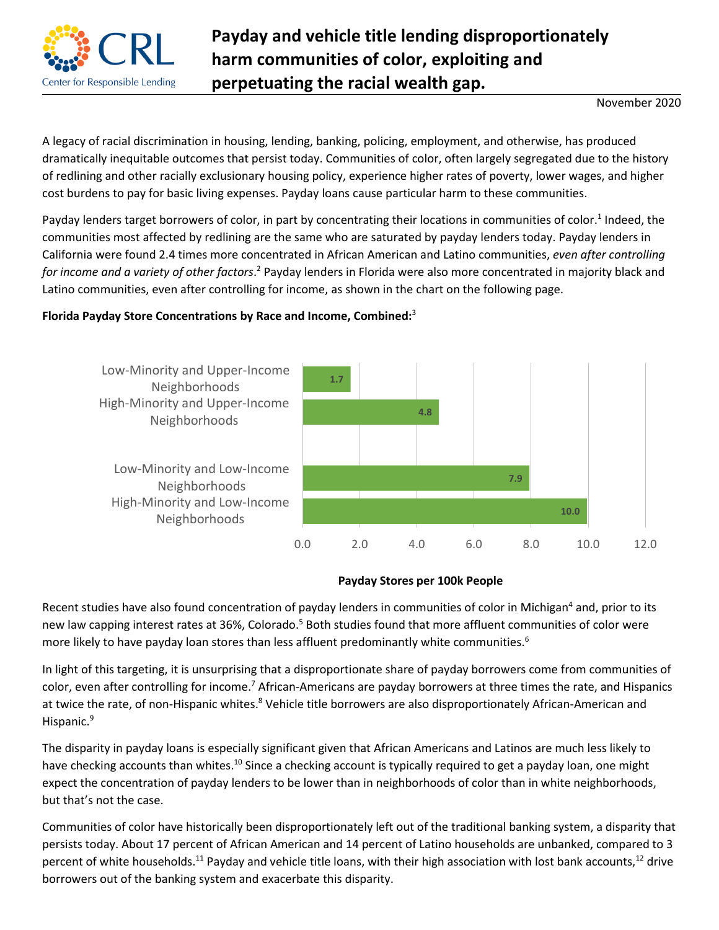

## **Payday and vehicle title lending disproportionately harm communities of color, exploiting and perpetuating the racial wealth gap.**

November 2020

A legacy of racial discrimination in housing, lending, banking, policing, employment, and otherwise, has produced dramatically inequitable outcomes that persist today. Communities of color, often largely segregated due to the history of redlining and other racially exclusionary housing policy, experience higher rates of poverty, lower wages, and higher cost burdens to pay for basic living expenses. Payday loans cause particular harm to these communities.

Payday lenders target borrowers of color, in part by concentrating their locations in communities of color.<sup>1</sup> Indeed, the communities most affected by redlining are the same who are saturated by payday lenders today. Payday lenders in California were found 2.4 times more concentrated in African American and Latino communities, *even after controlling*  for income and a variety of other factors.<sup>2</sup> Payday lenders in Florida were also more concentrated in majority black and Latino communities, even after controlling for income, as shown in the chart on the following page.

## **Florida Payday Store Concentrations by Race and Income, Combined:**<sup>3</sup>





Recent studies have also found concentration of payday lenders in communities of color in Michigan<sup>4</sup> and, prior to its new law capping interest rates at 36%, Colorado.<sup>5</sup> Both studies found that more affluent communities of color were more likely to have payday loan stores than less affluent predominantly white communities.<sup>6</sup>

In light of this targeting, it is unsurprising that a disproportionate share of payday borrowers come from communities of color, even after controlling for income.<sup>7</sup> African-Americans are payday borrowers at three times the rate, and Hispanics at twice the rate, of non-Hispanic whites.<sup>8</sup> Vehicle title borrowers are also disproportionately African-American and Hispanic.<sup>9</sup>

The disparity in payday loans is especially significant given that African Americans and Latinos are much less likely to have checking accounts than whites.<sup>10</sup> Since a checking account is typically required to get a payday loan, one might expect the concentration of payday lenders to be lower than in neighborhoods of color than in white neighborhoods, but that's not the case.

Communities of color have historically been disproportionately left out of the traditional banking system, a disparity that persists today. About 17 percent of African American and 14 percent of Latino households are unbanked, compared to 3 percent of white households.<sup>11</sup> Payday and vehicle title loans, with their high association with lost bank accounts,<sup>12</sup> drive borrowers out of the banking system and exacerbate this disparity.